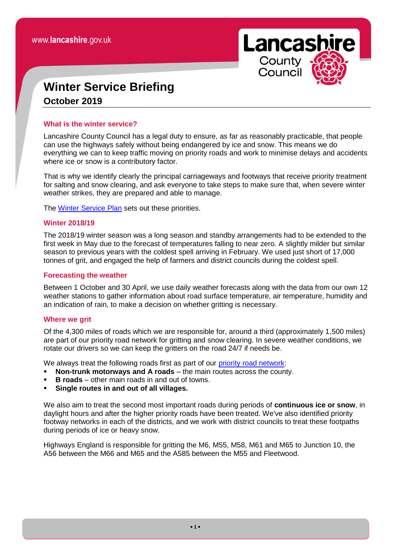**Lancashire** County Council

# **Winter Service Briefing October 2019**

# **What is the winter service?**

Lancashire County Council has a legal duty to ensure, as far as reasonably practicable, that people can use the highways safely without being endangered by ice and snow. This means we do everything we can to keep traffic moving on priority roads and work to minimise delays and accidents where ice or snow is a contributory factor.

That is why we identify clearly the principal carriageways and footways that receive priority treatment for salting and snow clearing, and ask everyone to take steps to make sure that, when severe winter weather strikes, they are prepared and able to manage.

The [Winter Service Plan](https://www.lancashire.gov.uk/council/strategies-policies-plans/roads-parking-and-travel/) sets out these priorities.

# **Winter 2018/19**

The 2018/19 winter season was a long season and standby arrangements had to be extended to the first week in May due to the forecast of temperatures falling to near zero. A slightly milder but similar season to previous years with the coldest spell arriving in February. We used just short of 17,000 tonnes of grit, and engaged the help of farmers and district councils during the coldest spell.

# **Forecasting the weather**

Between 1 October and 30 April, we use daily weather forecasts along with the data from our own 12 weather stations to gather information about road surface temperature, air temperature, humidity and an indication of rain, to make a decision on whether gritting is necessary.

# **Where we grit**

Of the 4,300 miles of roads which we are responsible for, around a third (approximately 1,500 miles) are part of our priority road network for gritting and snow clearing. In severe weather conditions, we rotate our drivers so we can keep the gritters on the road 24/7 if needs be.

We always treat the following roads first as part of our *priority road network*:

- **Non-trunk motorways and A roads** the main routes across the county.
- **B roads** other main roads in and out of towns.
- **Single routes in and out of all villages.**

We also aim to treat the second most important roads during periods of **continuous ice or snow**, in daylight hours and after the higher priority roads have been treated. We've also identified priority footway networks in each of the districts, and we work with district councils to treat these footpaths during periods of ice or heavy snow.

Highways England is responsible for gritting the M6, M55, M58, M61 and M65 to Junction 10, the A56 between the M66 and M65 and the A585 between the M55 and Fleetwood.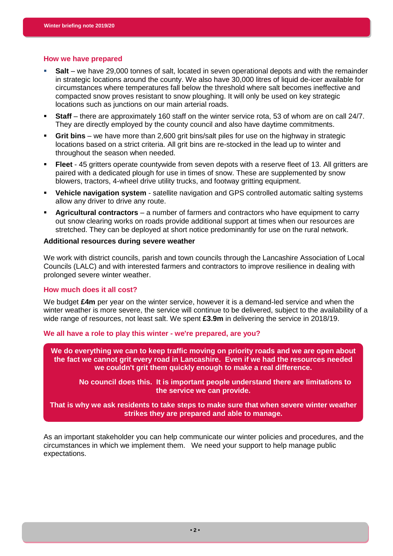#### **How we have prepared**

- **Salt** we have 29,000 tonnes of salt, located in seven operational depots and with the remainder in strategic locations around the county. We also have 30,000 litres of liquid de-icer available for circumstances where temperatures fall below the threshold where salt becomes ineffective and compacted snow proves resistant to snow ploughing. It will only be used on key strategic locations such as junctions on our main arterial roads.
- **Staff** there are approximately 160 staff on the winter service rota, 53 of whom are on call 24/7. They are directly employed by the county council and also have daytime commitments.
- **Grit bins**  we have more than 2,600 grit bins/salt piles for use on the highway in strategic locations based on a strict criteria. All grit bins are re-stocked in the lead up to winter and throughout the season when needed.
- **Fleet** 45 gritters operate countywide from seven depots with a reserve fleet of 13. All gritters are paired with a dedicated plough for use in times of snow. These are supplemented by snow blowers, tractors, 4-wheel drive utility trucks, and footway gritting equipment.
- **Vehicle navigation system** satellite navigation and GPS controlled automatic salting systems allow any driver to drive any route.
- **Agricultural contractors** a number of farmers and contractors who have equipment to carry out snow clearing works on roads provide additional support at times when our resources are stretched. They can be deployed at short notice predominantly for use on the rural network.

#### **Additional resources during severe weather**

We work with district councils, parish and town councils through the Lancashire Association of Local Councils (LALC) and with interested farmers and contractors to improve resilience in dealing with prolonged severe winter weather.

#### **How much does it all cost?**

We budget **£4m** per year on the winter service, however it is a demand-led service and when the winter weather is more severe, the service will continue to be delivered, subject to the availability of a wide range of resources, not least salt. We spent **£3.9m** in delivering the service in 2018/19.

**We all have a role to play this winter - we're prepared, are you?** 

**We do everything we can to keep traffic moving on priority roads and we are open about the fact we cannot grit every road in Lancashire. Even if we had the resources needed we couldn't grit them quickly enough to make a real difference.**

**No council does this. It is important people understand there are limitations to the service we can provide.**

**That is why we ask residents to take steps to make sure that when severe winter weather strikes they are prepared and able to manage.**

As an important stakeholder you can help communicate our winter policies and procedures, and the circumstances in which we implement them. We need your support to help manage public expectations.